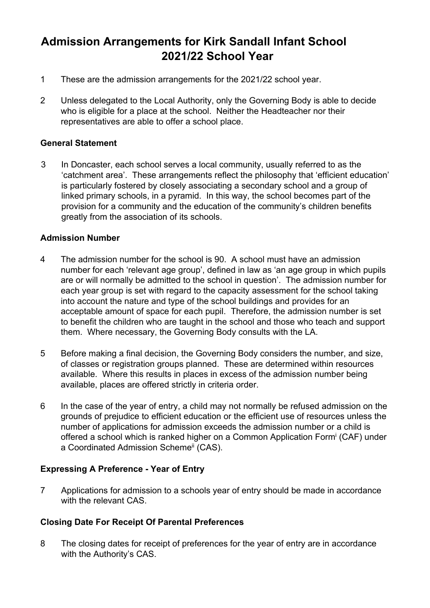# **Admission Arrangements for Kirk Sandall Infant School 2021/22 School Year**

- 1 These are the admission arrangements for the 2021/22 school year.
- 2 Unless delegated to the Local Authority, only the Governing Body is able to decide who is eligible for a place at the school. Neither the Headteacher nor their representatives are able to offer a school place.

#### **General Statement**

3 In Doncaster, each school serves a local community, usually referred to as the 'catchment area'. These arrangements reflect the philosophy that 'efficient education' is particularly fostered by closely associating a secondary school and a group of linked primary schools, in a pyramid. In this way, the school becomes part of the provision for a community and the education of the community's children benefits greatly from the association of its schools.

### **Admission Number**

- 4 The admission number for the school is 90. A school must have an admission number for each 'relevant age group', defined in law as 'an age group in which pupils are or will normally be admitted to the school in question'. The admission number for each year group is set with regard to the capacity assessment for the school taking into account the nature and type of the school buildings and provides for an acceptable amount of space for each pupil. Therefore, the admission number is set to benefit the children who are taught in the school and those who teach and support them. Where necessary, the Governing Body consults with the LA.
- 5 Before making a final decision, the Governing Body considers the number, and size, of classes or registration groups planned. These are determined within resources available. Where this results in places in excess of the admission number being available, places are offered strictly in criteria order.
- 6 In the case of the year of entry, a child may not normally be refused admission on the grounds of prejudice to efficient education or the efficient use of resources unless the number of applications for admission exceeds the admission number or a child is offered a school which is ranked higher on a Common Application Formi (CAF) under a Coordinated Admission Scheme<sup>ii</sup> (CAS).

# **Expressing A Preference - Year of Entry**

7 Applications for admission to a schools year of entry should be made in accordance with the relevant CAS.

# **Closing Date For Receipt Of Parental Preferences**

8 The closing dates for receipt of preferences for the year of entry are in accordance with the Authority's CAS.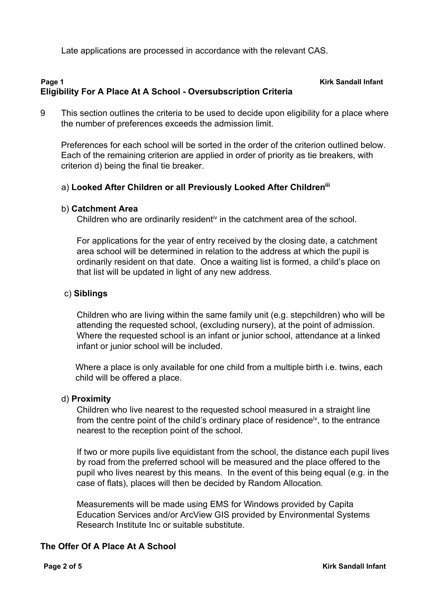Late applications are processed in accordance with the relevant CAS.

### **Page 1 Kirk Sandall Infant Eligibility For A Place At A School - Oversubscription Criteria**

9 This section outlines the criteria to be used to decide upon eligibility for a place where the number of preferences exceeds the admission limit.

 Preferences for each school will be sorted in the order of the criterion outlined below. Each of the remaining criterion are applied in order of priority as tie breakers, with criterion d) being the final tie breaker.

### a) **Looked After Children or all Previously Looked After Childreniii**

#### b) **Catchment Area**

Children who are ordinarily residenti<sup>v</sup> in the catchment area of the school.

For applications for the year of entry received by the closing date, a catchment area school will be determined in relation to the address at which the pupil is ordinarily resident on that date. Once a waiting list is formed, a child's place on that list will be updated in light of any new address.

#### c) **Siblings**

 Children who are living within the same family unit (e.g. stepchildren) who will be attending the requested school, (excluding nursery), at the point of admission. Where the requested school is an infant or junior school, attendance at a linked infant or junior school will be included.

Where a place is only available for one child from a multiple birth i.e. twins, each child will be offered a place.

#### d) **Proximity**

 Children who live nearest to the requested school measured in a straight line from the centre point of the child's ordinary place of residence<sup>iv</sup>, to the entrance nearest to the reception point of the school.

 If two or more pupils live equidistant from the school, the distance each pupil lives by road from the preferred school will be measured and the place offered to the pupil who lives nearest by this means. In the event of this being equal (e.g. in the case of flats), places will then be decided by Random Allocation*.*

 Measurements will be made using EMS for Windows provided by Capita Education Services and/or ArcView GIS provided by Environmental Systems Research Institute Inc or suitable substitute.

#### **The Offer Of A Place At A School**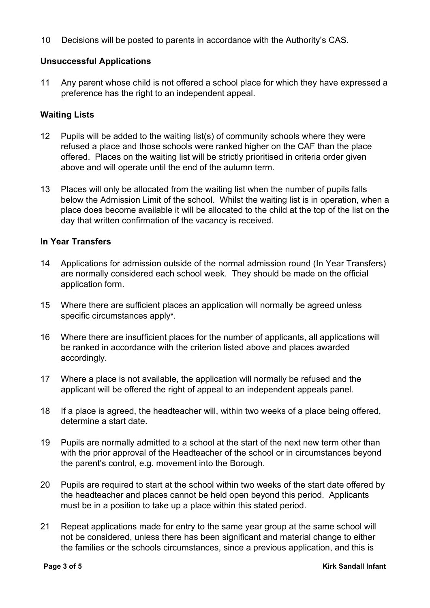10 Decisions will be posted to parents in accordance with the Authority's CAS.

# **Unsuccessful Applications**

11 Any parent whose child is not offered a school place for which they have expressed a preference has the right to an independent appeal.

#### **Waiting Lists**

- 12 Pupils will be added to the waiting list(s) of community schools where they were refused a place and those schools were ranked higher on the CAF than the place offered. Places on the waiting list will be strictly prioritised in criteria order given above and will operate until the end of the autumn term.
- 13 Places will only be allocated from the waiting list when the number of pupils falls below the Admission Limit of the school. Whilst the waiting list is in operation, when a place does become available it will be allocated to the child at the top of the list on the day that written confirmation of the vacancy is received.

#### **In Year Transfers**

- 14 Applications for admission outside of the normal admission round (In Year Transfers) are normally considered each school week. They should be made on the official application form.
- 15 Where there are sufficient places an application will normally be agreed unless specific circumstances apply<sup>v</sup>.
- 16 Where there are insufficient places for the number of applicants, all applications will be ranked in accordance with the criterion listed above and places awarded accordingly.
- 17 Where a place is not available, the application will normally be refused and the applicant will be offered the right of appeal to an independent appeals panel.
- 18 If a place is agreed, the headteacher will, within two weeks of a place being offered, determine a start date.
- 19 Pupils are normally admitted to a school at the start of the next new term other than with the prior approval of the Headteacher of the school or in circumstances beyond the parent's control, e.g. movement into the Borough.
- 20 Pupils are required to start at the school within two weeks of the start date offered by the headteacher and places cannot be held open beyond this period. Applicants must be in a position to take up a place within this stated period.
- 21 Repeat applications made for entry to the same year group at the same school will not be considered, unless there has been significant and material change to either the families or the schools circumstances, since a previous application, and this is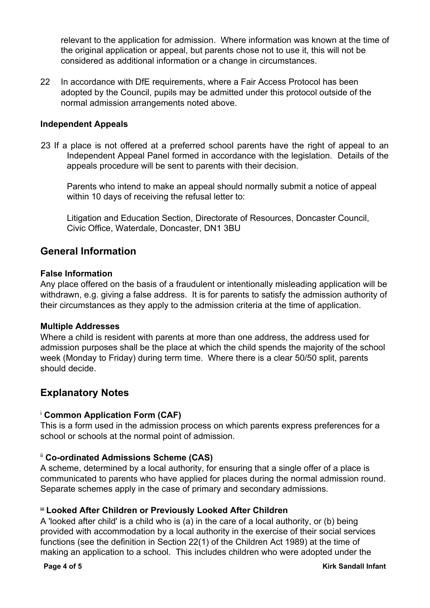relevant to the application for admission. Where information was known at the time of the original application or appeal, but parents chose not to use it, this will not be considered as additional information or a change in circumstances.

22 In accordance with DfE requirements, where a Fair Access Protocol has been adopted by the Council, pupils may be admitted under this protocol outside of the normal admission arrangements noted above.

### **Independent Appeals**

23 If a place is not offered at a preferred school parents have the right of appeal to an Independent Appeal Panel formed in accordance with the legislation. Details of the appeals procedure will be sent to parents with their decision.

Parents who intend to make an appeal should normally submit a notice of appeal within 10 days of receiving the refusal letter to:

Litigation and Education Section, Directorate of Resources, Doncaster Council, Civic Office, Waterdale, Doncaster, DN1 3BU

# **General Information**

#### **False Information**

Any place offered on the basis of a fraudulent or intentionally misleading application will be withdrawn, e.g. giving a false address. It is for parents to satisfy the admission authority of their circumstances as they apply to the admission criteria at the time of application.

#### **Multiple Addresses**

Where a child is resident with parents at more than one address, the address used for admission purposes shall be the place at which the child spends the majority of the school week (Monday to Friday) during term time. Where there is a clear 50/50 split, parents should decide.

# **Explanatory Notes**

# <sup>i</sup> **Common Application Form (CAF)**

This is a form used in the admission process on which parents express preferences for a school or schools at the normal point of admission.

# ii **Co-ordinated Admissions Scheme (CAS)**

A scheme, determined by a local authority, for ensuring that a single offer of a place is communicated to parents who have applied for places during the normal admission round. Separate schemes apply in the case of primary and secondary admissions.

#### **iii Looked After Children or Previously Looked After Children**

A 'looked after child' is a child who is (a) in the care of a local authority, or (b) being provided with accommodation by a local authority in the exercise of their social services functions (see the definition in Section 22(1) of the Children Act 1989) at the time of making an application to a school. This includes children who were adopted under the